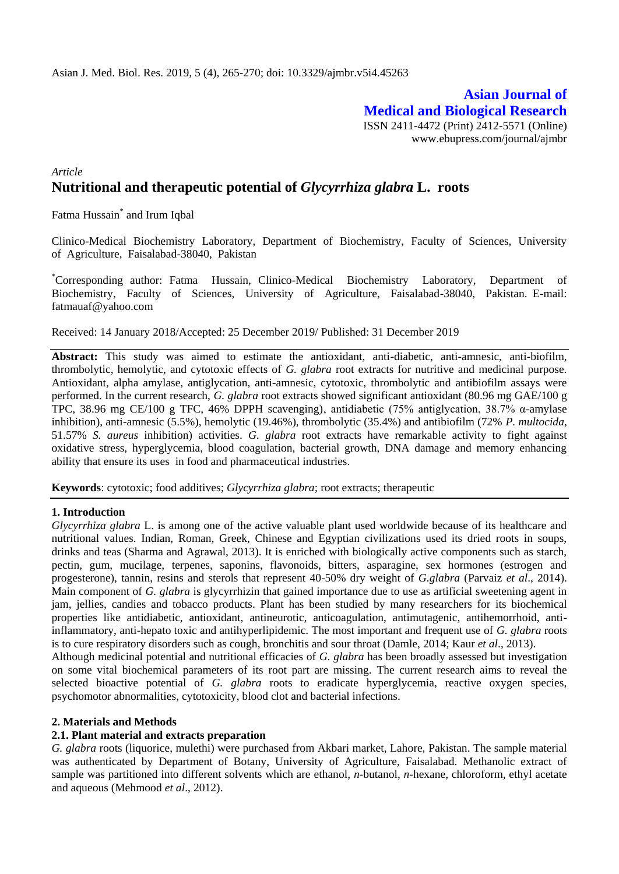## **Asian Journal of Medical and Biological Research** ISSN 2411-4472 (Print) 2412-5571 (Online) www.ebupress.com/journal/ajmbr

# *Article* **Nutritional and therapeutic potential of** *Glycyrrhiza glabra* **L. roots**

Fatma Hussain\* and Irum Iqbal

Clinico-Medical Biochemistry Laboratory, Department of Biochemistry, Faculty of Sciences, University of Agriculture, Faisalabad-38040, Pakistan

\*Corresponding author: Fatma Hussain, Clinico-Medical Biochemistry Laboratory, Department of Biochemistry, Faculty of Sciences, University of Agriculture, Faisalabad-38040, Pakistan. E-mail: [fatmauaf@yahoo.com](mailto:fatmauaf@yahoo.com)

Received: 14 January 2018/Accepted: 25 December 2019/ Published: 31 December 2019

**Abstract:** This study was aimed to estimate the antioxidant, anti-diabetic, anti-amnesic, anti-biofilm, thrombolytic, hemolytic, and cytotoxic effects of *G. glabra* root extracts for nutritive and medicinal purpose. Antioxidant, alpha amylase, antiglycation, anti-amnesic, cytotoxic, thrombolytic and antibiofilm assays were performed. In the current research, *G. glabra* root extracts showed significant antioxidant (80.96 mg GAE/100 g TPC, 38.96 mg CE/100 g TFC, 46% DPPH scavenging), antidiabetic (75% antiglycation, 38.7% α-amylase inhibition), anti-amnesic (5.5%), hemolytic (19.46%), thrombolytic (35.4%) and antibiofilm (72% *P. multocida*, 51.57% *S. aureus* inhibition) activities. *G. glabra* root extracts have remarkable activity to fight against oxidative stress, hyperglycemia, blood coagulation, bacterial growth, DNA damage and memory enhancing ability that ensure its uses in food and pharmaceutical industries.

**Keywords**: cytotoxic; food additives; *Glycyrrhiza glabra*; root extracts; therapeutic

psychomotor abnormalities, cytotoxicity, blood clot and bacterial infections.

#### **1. Introduction**

*Glycyrrhiza glabra* L. is among one of the active valuable plant used worldwide because of its healthcare and nutritional values. Indian, Roman, Greek, Chinese and Egyptian civilizations used its dried roots in soups, drinks and teas (Sharma and Agrawal, 2013). It is enriched with biologically active components such as starch, pectin, gum, mucilage, terpenes, saponins, flavonoids, bitters, asparagine, sex hormones (estrogen and progesterone), tannin, resins and sterols that represent 40-50% dry weight of *G.glabra* (Parvaiz *et al*., 2014). Main component of *G. glabra* is glycyrrhizin that gained importance due to use as artificial sweetening agent in jam, jellies, candies and tobacco products. Plant has been studied by many researchers for its biochemical properties like antidiabetic, antioxidant, antineurotic, anticoagulation, antimutagenic, antihemorrhoid, antiinflammatory, anti-hepato toxic and antihyperlipidemic. The most important and frequent use of *G. glabra* roots is to cure respiratory disorders such as cough, bronchitis and sour throat (Damle, 2014; Kaur *et al*., 2013). Although medicinal potential and nutritional efficacies of *G. glabra* has been broadly assessed but investigation on some vital biochemical parameters of its root part are missing. The current research aims to reveal the selected bioactive potential of *G. glabra* roots to eradicate hyperglycemia, reactive oxygen species,

#### **2. Materials and Methods**

#### **2.1. Plant material and extracts preparation**

*G. glabra* roots (liquorice, mulethi) were purchased from Akbari market, Lahore, Pakistan. The sample material was authenticated by Department of Botany, University of Agriculture, Faisalabad. Methanolic extract of sample was partitioned into different solvents which are ethanol, *n-*butanol, *n-*hexane, chloroform, ethyl acetate and aqueous (Mehmood *et al*., 2012).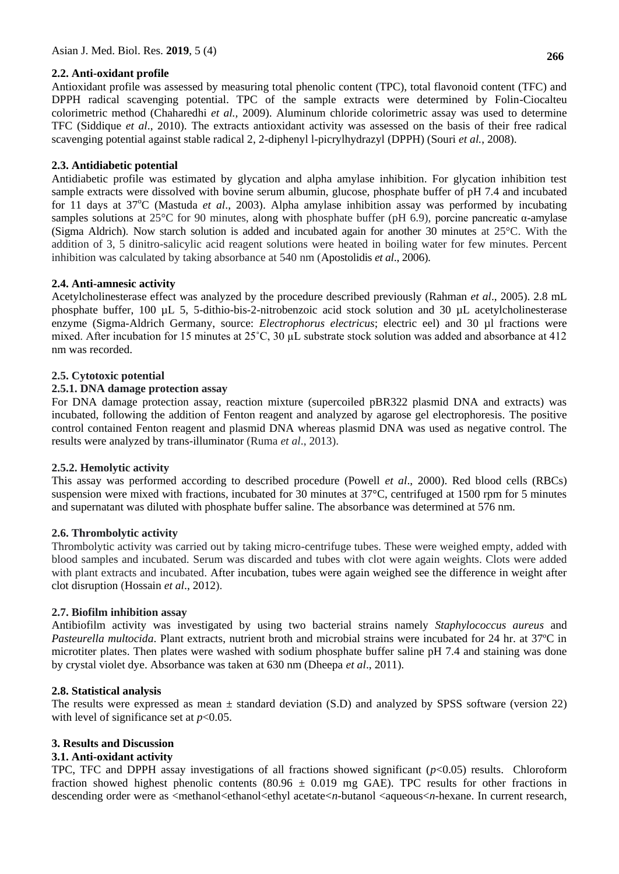### **2.2. Anti-oxidant profile**

**266**

Antioxidant profile was assessed by measuring total phenolic content (TPC), total flavonoid content (TFC) and DPPH radical scavenging potential. TPC of the sample extracts were determined by Folin-Ciocalteu colorimetric method (Chaharedhi *et al.,* 2009). Aluminum chloride colorimetric assay was used to determine TFC (Siddique *et al*., 2010). The extracts antioxidant activity was assessed on the basis of their free radical scavenging potential against stable radical 2, 2-diphenyl l-picrylhydrazyl (DPPH) (Souri *et al.*, 2008).

## **2.3. Antidiabetic potential**

Antidiabetic profile was estimated by glycation and alpha amylase inhibition. For glycation inhibition test sample extracts were dissolved with bovine serum albumin, glucose, phosphate buffer of pH 7.4 and incubated for 11 days at 37<sup>o</sup>C (Mastuda *et al.*, 2003). Alpha amylase inhibition assay was performed by incubating samples solutions at 25°C for 90 minutes, along with phosphate buffer (pH 6.9), porcine pancreatic α-amylase (Sigma Aldrich). Now starch solution is added and incubated again for another 30 minutes at 25°C. With the addition of 3, 5 dinitro-salicylic acid reagent solutions were heated in boiling water for few minutes. Percent inhibition was calculated by taking absorbance at 540 nm (Apostolidis *et al*., 2006).

### **2.4. Anti-amnesic activity**

Acetylcholinesterase effect was analyzed by the procedure described previously (Rahman *et al*., 2005). 2.8 mL phosphate buffer, 100 µL 5, 5-dithio-bis-2-nitrobenzoic acid stock solution and 30 µL acetylcholinesterase enzyme (Sigma-Aldrich Germany, source: *Electrophorus electricus*; electric eel) and 30 µl fractions were mixed. After incubation for 15 minutes at  $25^{\circ}$ C, 30 µL substrate stock solution was added and absorbance at 412 nm was recorded.

### **2.5. Cytotoxic potential**

#### **2.5.1. DNA damage protection assay**

For DNA damage protection assay, reaction mixture (supercoiled pBR322 plasmid DNA and extracts) was incubated, following the addition of Fenton reagent and analyzed by agarose gel electrophoresis. The positive control contained Fenton reagent and plasmid DNA whereas plasmid DNA was used as negative control. The results were analyzed by trans-illuminator (Ruma *et al*., 2013).

#### **2.5.2. Hemolytic activity**

This assay was performed according to described procedure (Powell *et al*., 2000). Red blood cells (RBCs) suspension were mixed with fractions, incubated for 30 minutes at 37°C, centrifuged at 1500 rpm for 5 minutes and supernatant was diluted with phosphate buffer saline. The absorbance was determined at 576 nm.

### **2.6. Thrombolytic activity**

Thrombolytic activity was carried out by taking micro-centrifuge tubes. These were weighed empty, added with blood samples and incubated. Serum was discarded and tubes with clot were again weights. Clots were added with plant extracts and incubated. After incubation, tubes were again weighed see the difference in weight after clot disruption (Hossain *et al*., 2012).

#### **2.7. Biofilm inhibition assay**

Antibiofilm activity was investigated by using two bacterial strains namely *Staphylococcus aureus* and *Pasteurella multocida*. Plant extracts, nutrient broth and microbial strains were incubated for 24 hr. at 37ºC in microtiter plates. Then plates were washed with sodium phosphate buffer saline pH 7.4 and staining was done by crystal violet dye. Absorbance was taken at 630 nm (Dheepa *et al*., 2011).

#### **2.8. Statistical analysis**

The results were expressed as mean  $\pm$  standard deviation (S.D) and analyzed by SPSS software (version 22) with level of significance set at  $p<0.05$ .

#### **3. Results and Discussion**

## **3.1. Anti-oxidant activity**

TPC, TFC and DPPH assay investigations of all fractions showed significant (*p*<0.05) results. Chloroform fraction showed highest phenolic contents (80.96  $\pm$  0.019 mg GAE). TPC results for other fractions in descending order were as <methanol<ethanol<ethyl acetate<*n*-butanol <aqueous<*n*-hexane. In current research,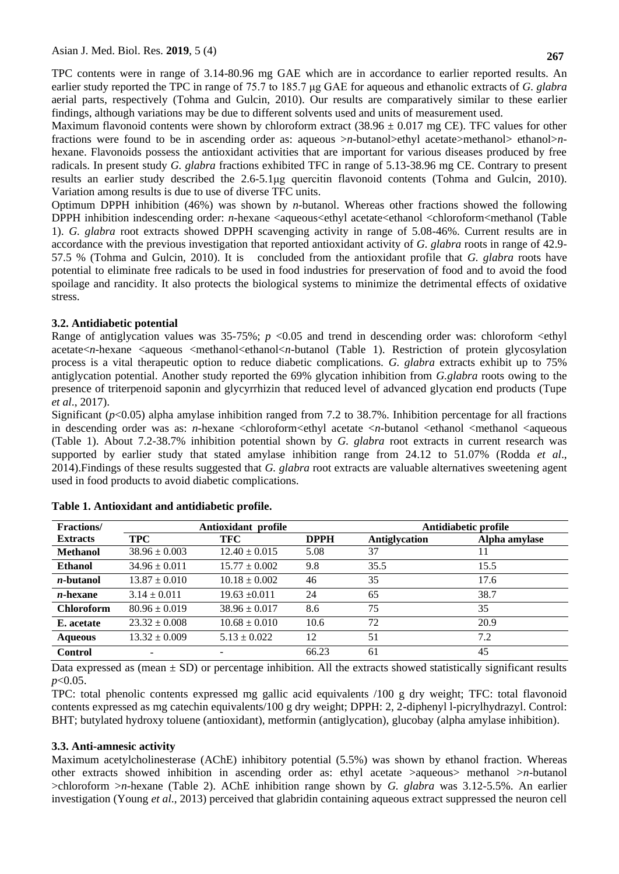TPC contents were in range of 3.14-80.96 mg GAE which are in accordance to earlier reported results. An earlier study reported the TPC in range of 75.7 to 185.7 μg GAE for aqueous and ethanolic extracts of *G. glabra*  aerial parts, respectively (Tohma and Gulcin, 2010). Our results are comparatively similar to these earlier findings, although variations may be due to different solvents used and units of measurement used.

Maximum flavonoid contents were shown by chloroform extract  $(38.96 \pm 0.017 \text{ mg CE})$ . TFC values for other fractions were found to be in ascending order as: aqueous >*n*-butanol>ethyl acetate>methanol> ethanol>*n*hexane. Flavonoids possess the antioxidant activities that are important for various diseases produced by free radicals. In present study *G. glabra* fractions exhibited TFC in range of 5.13-38.96 mg CE. Contrary to present results an earlier study described the 2.6-5.1μg quercitin flavonoid contents (Tohma and Gulcin, 2010). Variation among results is due to use of diverse TFC units.

Optimum DPPH inhibition (46%) was shown by *n*-butanol. Whereas other fractions showed the following DPPH inhibition indescending order: *n*-hexane <aqueous<ethyl acetate<ethanol <chloroform<methanol (Table 1). *G. glabra* root extracts showed DPPH scavenging activity in range of 5.08-46%. Current results are in accordance with the previous investigation that reported antioxidant activity of *G. glabra* roots in range of 42.9- 57.5 % (Tohma and Gulcin, 2010). It is concluded from the antioxidant profile that *G. glabra* roots have potential to eliminate free radicals to be used in food industries for preservation of food and to avoid the food spoilage and rancidity. It also protects the biological systems to minimize the detrimental effects of oxidative stress.

### **3.2. Antidiabetic potential**

Range of antiglycation values was  $35-75\%$ ; *p* <0.05 and trend in descending order was: chloroform <ethyl acetate<*n*-hexane <aqueous <methanol<ethanol<*n*-butanol (Table 1). Restriction of protein glycosylation process is a vital therapeutic option to reduce diabetic complications. *G. glabra* extracts exhibit up to 75% antiglycation potential. Another study reported the 69% glycation inhibition from *G.glabra* roots owing to the presence of triterpenoid saponin and glycyrrhizin that reduced level of advanced glycation end products (Tupe *et al*., 2017).

Significant  $(p<0.05)$  alpha amylase inhibition ranged from 7.2 to 38.7%. Inhibition percentage for all fractions in descending order was as: *n*-hexane <chloroform<*ethyl* acetate <*n*-butanol <ethanol <methanol <aqueous (Table 1). About 7.2-38.7% inhibition potential shown by *G. glabra* root extracts in current research was supported by earlier study that stated amylase inhibition range from 24.12 to 51.07% (Rodda *et al*., 2014).Findings of these results suggested that *G. glabra* root extracts are valuable alternatives sweetening agent used in food products to avoid diabetic complications.

| Fractions/        | Antioxidant profile      |                          |             | Antidiabetic profile |               |  |
|-------------------|--------------------------|--------------------------|-------------|----------------------|---------------|--|
| <b>Extracts</b>   | <b>TPC</b>               | TFC                      | <b>DPPH</b> | Antiglycation        | Alpha amylase |  |
| <b>Methanol</b>   | $38.96 \pm 0.003$        | $12.40 \pm 0.015$        | 5.08        | 37                   | 11            |  |
| <b>Ethanol</b>    | $34.96 \pm 0.011$        | $15.77 \pm 0.002$        | 9.8         | 35.5                 | 15.5          |  |
| <i>n</i> -butanol | $13.87 \pm 0.010$        | $10.18 \pm 0.002$        | 46          | 35                   | 17.6          |  |
| $n$ -hexane       | $3.14 \pm 0.011$         | $19.63 \pm 0.011$        | 24          | 65                   | 38.7          |  |
| <b>Chloroform</b> | $80.96 \pm 0.019$        | $38.96 \pm 0.017$        | 8.6         | 75                   | 35            |  |
| E. acetate        | $23.32 \pm 0.008$        | $10.68 \pm 0.010$        | 10.6        | 72                   | 20.9          |  |
| <b>Aqueous</b>    | $13.32 \pm 0.009$        | $5.13 \pm 0.022$         | 12          | 51                   | 7.2           |  |
| <b>Control</b>    | $\overline{\phantom{a}}$ | $\overline{\phantom{0}}$ | 66.23       | 61                   | 45            |  |

| Table 1. Antioxidant and antidiabetic profile. |  |  |
|------------------------------------------------|--|--|
|------------------------------------------------|--|--|

Data expressed as (mean  $\pm$  SD) or percentage inhibition. All the extracts showed statistically significant results *p*<0.05.

TPC: total phenolic contents expressed mg gallic acid equivalents /100 g dry weight; TFC: total flavonoid contents expressed as mg catechin equivalents/100 g dry weight; DPPH: 2, 2-diphenyl l-picrylhydrazyl. Control: BHT; butylated hydroxy toluene (antioxidant), metformin (antiglycation), glucobay (alpha amylase inhibition).

#### **3.3. Anti-amnesic activity**

Maximum acetylcholinesterase (AChE) inhibitory potential (5.5%) was shown by ethanol fraction. Whereas other extracts showed inhibition in ascending order as: ethyl acetate >aqueous> methanol >*n*-butanol >chloroform >*n*-hexane (Table 2). AChE inhibition range shown by *G. glabra* was 3.12-5.5%. An earlier investigation (Young *et al*., 2013) perceived that glabridin containing aqueous extract suppressed the neuron cell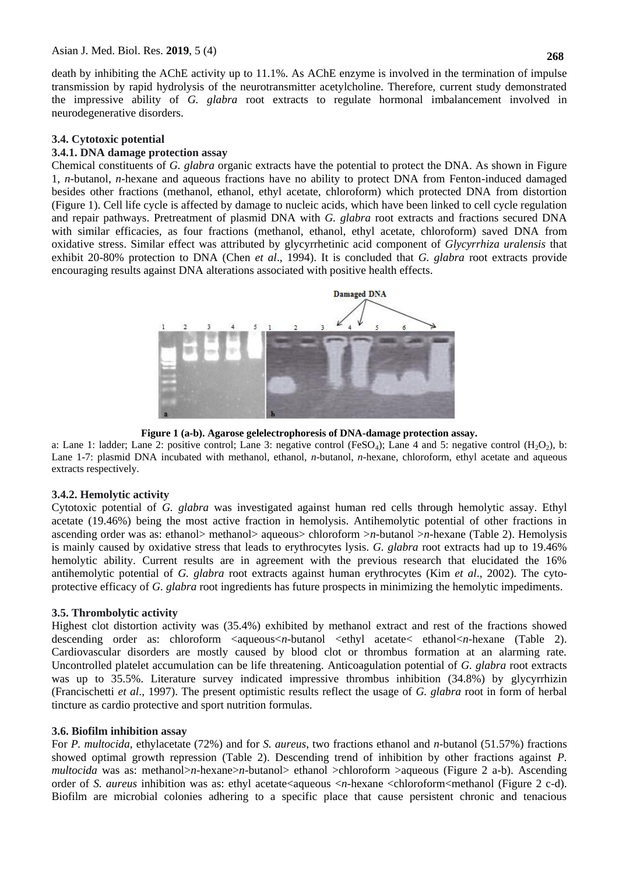death by inhibiting the AChE activity up to 11.1%. As AChE enzyme is involved in the termination of impulse transmission by rapid hydrolysis of the neurotransmitter acetylcholine. Therefore, current study demonstrated the impressive ability of *G. glabra* root extracts to regulate hormonal imbalancement involved in neurodegenerative disorders.

#### **3.4. Cytotoxic potential**

### **3.4.1. DNA damage protection assay**

Chemical constituents of *G. glabra* organic extracts have the potential to protect the DNA. As shown in Figure 1, *n*-butanol, *n*-hexane and aqueous fractions have no ability to protect DNA from Fenton-induced damaged besides other fractions (methanol, ethanol, ethyl acetate, chloroform) which protected DNA from distortion (Figure 1). Cell life cycle is affected by damage to nucleic acids, which have been linked to cell cycle regulation and repair pathways. Pretreatment of plasmid DNA with *G. glabra* root extracts and fractions secured DNA with similar efficacies, as four fractions (methanol, ethanol, ethyl acetate, chloroform) saved DNA from oxidative stress. Similar effect was attributed by glycyrrhetinic acid component of *Glycyrrhiza uralensis* that exhibit 20-80% protection to DNA (Chen *et al*., 1994). It is concluded that *G. glabra* root extracts provide encouraging results against DNA alterations associated with positive health effects.



**Figure 1 (a-b). Agarose gelelectrophoresis of DNA-damage protection assay.**

a: Lane 1: ladder; Lane 2: positive control; Lane 3: negative control (FeSO<sub>4</sub>); Lane 4 and 5: negative control (H<sub>2</sub>O<sub>2</sub>), b: Lane 1-7: plasmid DNA incubated with methanol, ethanol, *n*-butanol, *n*-hexane, chloroform, ethyl acetate and aqueous extracts respectively.

#### **3.4.2. Hemolytic activity**

Cytotoxic potential of *G. glabra* was investigated against human red cells through hemolytic assay. Ethyl acetate (19.46%) being the most active fraction in hemolysis. Antihemolytic potential of other fractions in ascending order was as: ethanol> methanol> aqueous> chloroform >*n*-butanol >*n*-hexane (Table 2). Hemolysis is mainly caused by oxidative stress that leads to erythrocytes lysis. *G. glabra* root extracts had up to 19.46% hemolytic ability. Current results are in agreement with the previous research that elucidated the 16% antihemolytic potential of *G. glabra* root extracts against human erythrocytes (Kim *et al*., 2002). The cytoprotective efficacy of *G. glabra* root ingredients has future prospects in minimizing the hemolytic impediments.

#### **3.5. Thrombolytic activity**

Highest clot distortion activity was (35.4%) exhibited by methanol extract and rest of the fractions showed descending order as: chloroform  $\langle$ aqueous $\langle n$ -butanol  $\langle$ ethyl acetate $\langle$  ethanol $\langle n$ -hexane (Table 2). Cardiovascular disorders are mostly caused by blood clot or thrombus formation at an alarming rate. Uncontrolled platelet accumulation can be life threatening. Anticoagulation potential of *G. glabra* root extracts was up to 35.5%. Literature survey indicated impressive thrombus inhibition (34.8%) by glycyrrhizin (Francischetti *et al*., 1997). The present optimistic results reflect the usage of *G. glabra* root in form of herbal tincture as cardio protective and sport nutrition formulas.

#### **3.6. Biofilm inhibition assay**

For *P. multocida*, ethylacetate (72%) and for *S. aureus*, two fractions ethanol and *n*-butanol (51.57%) fractions showed optimal growth repression (Table 2). Descending trend of inhibition by other fractions against *P. multocida* was as: methanol>*n*-hexane>*n*-butanol> ethanol >chloroform >aqueous (Figure 2 a-b). Ascending order of *S. aureus* inhibition was as: ethyl acetate<aqueous <*n*-hexane <chloroform<methanol (Figure 2 c-d). Biofilm are microbial colonies adhering to a specific place that cause persistent chronic and tenacious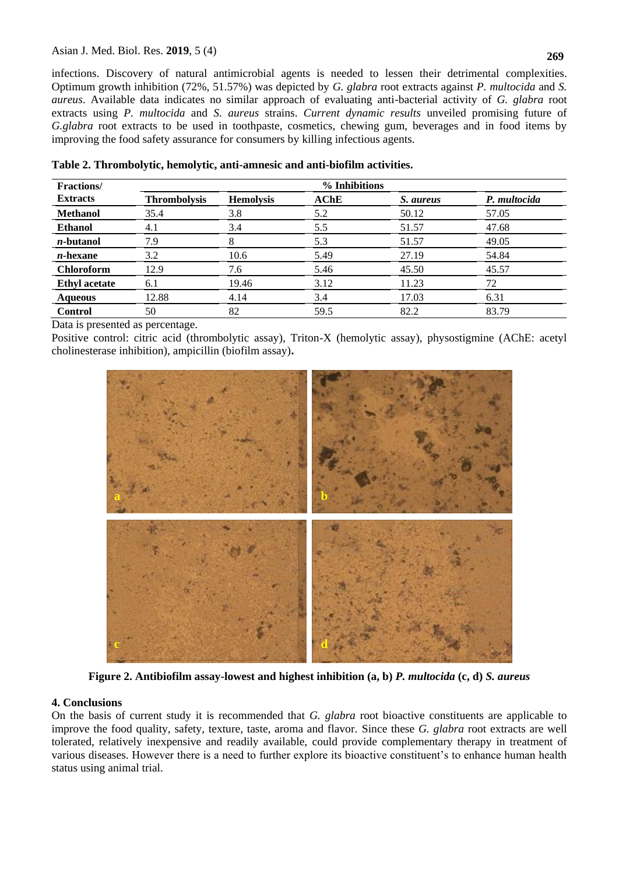infections. Discovery of natural antimicrobial agents is needed to lessen their detrimental complexities. Optimum growth inhibition (72%, 51.57%) was depicted by *G. glabra* root extracts against *P. multocida* and *S. aureus*. Available data indicates no similar approach of evaluating anti-bacterial activity of *G. glabra* root extracts using *P. multocida* and *S. aureus* strains. *Current dynamic results* unveiled promising future of *G.glabra* root extracts to be used in toothpaste, cosmetics, chewing gum, beverages and in food items by improving the food safety assurance for consumers by killing infectious agents.

| <b>Fractions</b> /   | % Inhibitions       |                  |      |           |              |  |  |
|----------------------|---------------------|------------------|------|-----------|--------------|--|--|
| <b>Extracts</b>      | <b>Thrombolysis</b> | <b>Hemolysis</b> | AChE | S. aureus | P. multocida |  |  |
| <b>Methanol</b>      | 35.4                | 3.8              | 5.2  | 50.12     | 57.05        |  |  |
| <b>Ethanol</b>       | 4.1                 | 3.4              | 5.5  | 51.57     | 47.68        |  |  |
| <i>n</i> -butanol    | 7.9                 | 8                | 5.3  | 51.57     | 49.05        |  |  |
| $n$ -hexane          | 3.2                 | 10.6             | 5.49 | 27.19     | 54.84        |  |  |
| <b>Chloroform</b>    | 12.9                | 7.6              | 5.46 | 45.50     | 45.57        |  |  |
| <b>Ethyl</b> acetate | 6.1                 | 19.46            | 3.12 | 11.23     | 72           |  |  |
| <b>Aqueous</b>       | 12.88               | 4.14             | 3.4  | 17.03     | 6.31         |  |  |
| <b>Control</b>       | 50                  | 82               | 59.5 | 82.2      | 83.79        |  |  |

**Table 2. Thrombolytic, hemolytic, anti-amnesic and anti-biofilm activities.**

Data is presented as percentage.

Positive control: citric acid (thrombolytic assay), Triton-X (hemolytic assay), physostigmine (AChE: acetyl cholinesterase inhibition), ampicillin (biofilm assay)**.**



**Figure 2. Antibiofilm assay-lowest and highest inhibition (a, b)** *P. multocida* **(c, d)** *S. aureus*

#### **4. Conclusions**

On the basis of current study it is recommended that *G. glabra* root bioactive constituents are applicable to improve the food quality, safety, texture, taste, aroma and flavor. Since these *G. glabra* root extracts are well tolerated, relatively inexpensive and readily available, could provide complementary therapy in treatment of various diseases. However there is a need to further explore its bioactive constituent's to enhance human health status using animal trial.